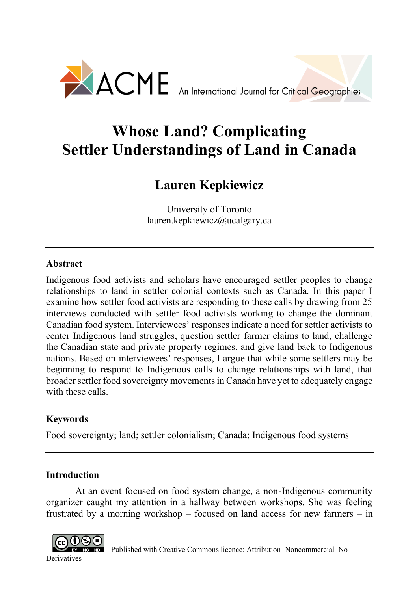

# **Whose Land? Complicating Settler Understandings of Land in Canada**

## **Lauren Kepkiewicz**

University of Toronto lauren.kepkiewicz@ucalgary.ca

## **Abstract**

Indigenous food activists and scholars have encouraged settler peoples to change relationships to land in settler colonial contexts such as Canada. In this paper I examine how settler food activists are responding to these calls by drawing from 25 interviews conducted with settler food activists working to change the dominant Canadian food system. Interviewees' responses indicate a need for settler activists to center Indigenous land struggles, question settler farmer claims to land, challenge the Canadian state and private property regimes, and give land back to Indigenous nations. Based on interviewees' responses, I argue that while some settlers may be beginning to respond to Indigenous calls to change relationships with land, that broader settler food sovereignty movements in Canada have yet to adequately engage with these calls.

## **Keywords**

Food sovereignty; land; settler colonialism; Canada; Indigenous food systems

## **Introduction**

At an event focused on food system change, a non-Indigenous community organizer caught my attention in a hallway between workshops. She was feeling frustrated by a morning workshop – focused on land access for new farmers – in

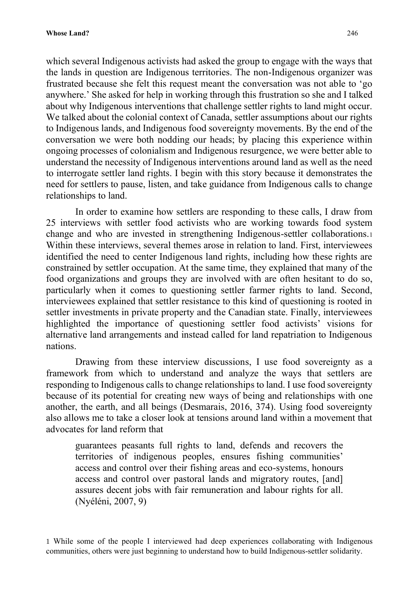which several Indigenous activists had asked the group to engage with the ways that the lands in question are Indigenous territories. The non-Indigenous organizer was frustrated because she felt this request meant the conversation was not able to 'go anywhere.' She asked for help in working through this frustration so she and I talked about why Indigenous interventions that challenge settler rights to land might occur. We talked about the colonial context of Canada, settler assumptions about our rights to Indigenous lands, and Indigenous food sovereignty movements. By the end of the conversation we were both nodding our heads; by placing this experience within ongoing processes of colonialism and Indigenous resurgence, we were better able to understand the necessity of Indigenous interventions around land as well as the need to interrogate settler land rights. I begin with this story because it demonstrates the need for settlers to pause, listen, and take guidance from Indigenous calls to change relationships to land.

In order to examine how settlers are responding to these calls, I draw from 25 interviews with settler food activists who are working towards food system change and who are invested in strengthening Indigenous-settler collaborations.<sup>1</sup> Within these interviews, several themes arose in relation to land. First, interviewees identified the need to center Indigenous land rights, including how these rights are constrained by settler occupation. At the same time, they explained that many of the food organizations and groups they are involved with are often hesitant to do so, particularly when it comes to questioning settler farmer rights to land. Second, interviewees explained that settler resistance to this kind of questioning is rooted in settler investments in private property and the Canadian state. Finally, interviewees highlighted the importance of questioning settler food activists' visions for alternative land arrangements and instead called for land repatriation to Indigenous nations.

Drawing from these interview discussions, I use food sovereignty as a framework from which to understand and analyze the ways that settlers are responding to Indigenous calls to change relationships to land. I use food sovereignty because of its potential for creating new ways of being and relationships with one another, the earth, and all beings (Desmarais, 2016, 374). Using food sovereignty also allows me to take a closer look at tensions around land within a movement that advocates for land reform that

guarantees peasants full rights to land, defends and recovers the territories of indigenous peoples, ensures fishing communities' access and control over their fishing areas and eco-systems, honours access and control over pastoral lands and migratory routes, [and] assures decent jobs with fair remuneration and labour rights for all. (Nyéléni, 2007, 9)

1 While some of the people I interviewed had deep experiences collaborating with Indigenous communities, others were just beginning to understand how to build Indigenous-settler solidarity.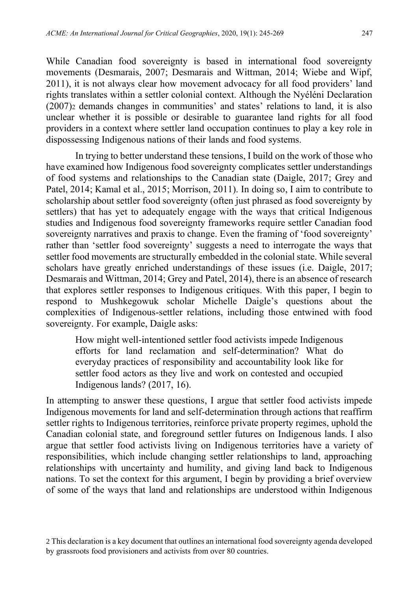While Canadian food sovereignty is based in international food sovereignty movements (Desmarais, 2007; Desmarais and Wittman, 2014; Wiebe and Wipf, 2011), it is not always clear how movement advocacy for all food providers' land rights translates within a settler colonial context. Although the Nyéléni Declaration (2007)<sup>2</sup> demands changes in communities' and states' relations to land, it is also unclear whether it is possible or desirable to guarantee land rights for all food providers in a context where settler land occupation continues to play a key role in dispossessing Indigenous nations of their lands and food systems.

In trying to better understand these tensions, I build on the work of those who have examined how Indigenous food sovereignty complicates settler understandings of food systems and relationships to the Canadian state (Daigle, 2017; Grey and Patel, 2014; Kamal et al., 2015; Morrison, 2011). In doing so, I aim to contribute to scholarship about settler food sovereignty (often just phrased as food sovereignty by settlers) that has yet to adequately engage with the ways that critical Indigenous studies and Indigenous food sovereignty frameworks require settler Canadian food sovereignty narratives and praxis to change. Even the framing of 'food sovereignty' rather than 'settler food sovereignty' suggests a need to interrogate the ways that settler food movements are structurally embedded in the colonial state. While several scholars have greatly enriched understandings of these issues (i.e. Daigle, 2017; Desmarais and Wittman, 2014; Grey and Patel, 2014), there is an absence of research that explores settler responses to Indigenous critiques. With this paper, I begin to respond to Mushkegowuk scholar Michelle Daigle's questions about the complexities of Indigenous-settler relations, including those entwined with food sovereignty. For example, Daigle asks:

How might well-intentioned settler food activists impede Indigenous efforts for land reclamation and self-determination? What do everyday practices of responsibility and accountability look like for settler food actors as they live and work on contested and occupied Indigenous lands? (2017, 16).

In attempting to answer these questions, I argue that settler food activists impede Indigenous movements for land and self-determination through actions that reaffirm settler rights to Indigenous territories, reinforce private property regimes, uphold the Canadian colonial state, and foreground settler futures on Indigenous lands. I also argue that settler food activists living on Indigenous territories have a variety of responsibilities, which include changing settler relationships to land, approaching relationships with uncertainty and humility, and giving land back to Indigenous nations. To set the context for this argument, I begin by providing a brief overview of some of the ways that land and relationships are understood within Indigenous

<sup>2</sup> This declaration is a key document that outlines an international food sovereignty agenda developed by grassroots food provisioners and activists from over 80 countries.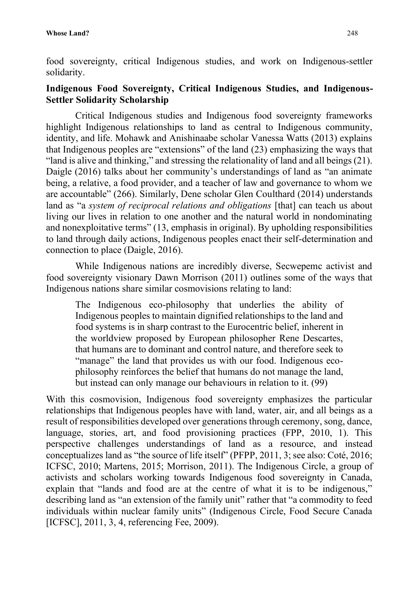food sovereignty, critical Indigenous studies, and work on Indigenous-settler solidarity.

## **Indigenous Food Sovereignty, Critical Indigenous Studies, and Indigenous-Settler Solidarity Scholarship**

Critical Indigenous studies and Indigenous food sovereignty frameworks highlight Indigenous relationships to land as central to Indigenous community, identity, and life. Mohawk and Anishinaabe scholar Vanessa Watts (2013) explains that Indigenous peoples are "extensions" of the land (23) emphasizing the ways that "land is alive and thinking," and stressing the relationality of land and all beings (21). Daigle (2016) talks about her community's understandings of land as "an animate being, a relative, a food provider, and a teacher of law and governance to whom we are accountable" (266). Similarly, Dene scholar Glen Coulthard (2014) understands land as "a *system of reciprocal relations and obligations* [that] can teach us about living our lives in relation to one another and the natural world in nondominating and nonexploitative terms" (13, emphasis in original). By upholding responsibilities to land through daily actions, Indigenous peoples enact their self-determination and connection to place (Daigle, 2016).

While Indigenous nations are incredibly diverse, Secwepemc activist and food sovereignty visionary Dawn Morrison (2011) outlines some of the ways that Indigenous nations share similar cosmovisions relating to land:

The Indigenous eco-philosophy that underlies the ability of Indigenous peoples to maintain dignified relationships to the land and food systems is in sharp contrast to the Eurocentric belief, inherent in the worldview proposed by European philosopher Rene Descartes, that humans are to dominant and control nature, and therefore seek to "manage" the land that provides us with our food. Indigenous ecophilosophy reinforces the belief that humans do not manage the land, but instead can only manage our behaviours in relation to it. (99)

With this cosmovision, Indigenous food sovereignty emphasizes the particular relationships that Indigenous peoples have with land, water, air, and all beings as a result of responsibilities developed over generations through ceremony, song, dance, language, stories, art, and food provisioning practices (FPP, 2010, 1). This perspective challenges understandings of land as a resource, and instead conceptualizes land as "the source of life itself" (PFPP, 2011, 3; see also: Coté, 2016; ICFSC, 2010; Martens, 2015; Morrison, 2011). The Indigenous Circle, a group of activists and scholars working towards Indigenous food sovereignty in Canada, explain that "lands and food are at the centre of what it is to be indigenous," describing land as "an extension of the family unit" rather that "a commodity to feed individuals within nuclear family units" (Indigenous Circle, Food Secure Canada [ICFSC], 2011, 3, 4, referencing Fee, 2009).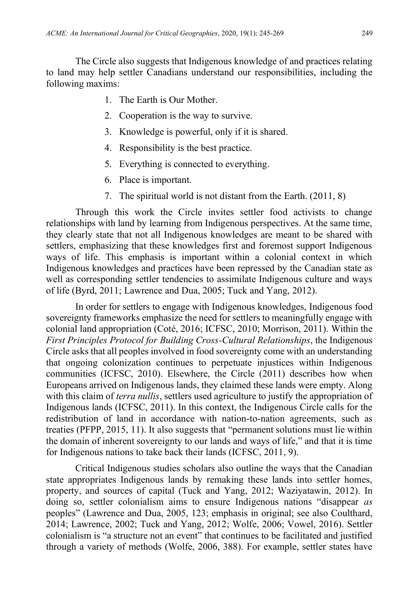The Circle also suggests that Indigenous knowledge of and practices relating to land may help settler Canadians understand our responsibilities, including the following maxims:

- 1. The Earth is Our Mother.
- 2. Cooperation is the way to survive.
- 3. Knowledge is powerful, only if it is shared.
- 4. Responsibility is the best practice.
- 5. Everything is connected to everything.
- 6. Place is important.
- 7. The spiritual world is not distant from the Earth. (2011, 8)

Through this work the Circle invites settler food activists to change relationships with land by learning from Indigenous perspectives. At the same time, they clearly state that not all Indigenous knowledges are meant to be shared with settlers, emphasizing that these knowledges first and foremost support Indigenous ways of life. This emphasis is important within a colonial context in which Indigenous knowledges and practices have been repressed by the Canadian state as well as corresponding settler tendencies to assimilate Indigenous culture and ways of life (Byrd, 2011; Lawrence and Dua, 2005; Tuck and Yang, 2012).

In order for settlers to engage with Indigenous knowledges, Indigenous food sovereignty frameworks emphasize the need for settlers to meaningfully engage with colonial land appropriation (Coté, 2016; ICFSC, 2010; Morrison, 2011). Within the *First Principles Protocol for Building Cross-Cultural Relationships*, the Indigenous Circle asks that all peoples involved in food sovereignty come with an understanding that ongoing colonization continues to perpetuate injustices within Indigenous communities (ICFSC, 2010). Elsewhere, the Circle (2011) describes how when Europeans arrived on Indigenous lands, they claimed these lands were empty. Along with this claim of *terra nullis*, settlers used agriculture to justify the appropriation of Indigenous lands (ICFSC, 2011). In this context, the Indigenous Circle calls for the redistribution of land in accordance with nation-to-nation agreements, such as treaties (PFPP, 2015, 11). It also suggests that "permanent solutions must lie within the domain of inherent sovereignty to our lands and ways of life," and that it is time for Indigenous nations to take back their lands (ICFSC, 2011, 9).

Critical Indigenous studies scholars also outline the ways that the Canadian state appropriates Indigenous lands by remaking these lands into settler homes, property, and sources of capital (Tuck and Yang, 2012; Waziyatawin, 2012). In doing so, settler colonialism aims to ensure Indigenous nations "disappear *as*  peoples" (Lawrence and Dua, 2005, 123; emphasis in original; see also Coulthard, 2014; Lawrence, 2002; Tuck and Yang, 2012; Wolfe, 2006; Vowel, 2016). Settler colonialism is "a structure not an event" that continues to be facilitated and justified through a variety of methods (Wolfe, 2006, 388). For example, settler states have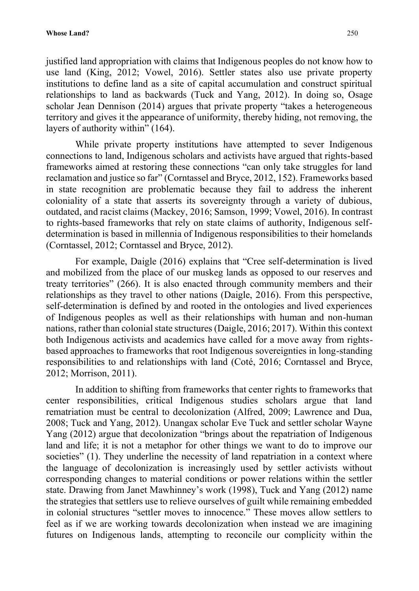justified land appropriation with claims that Indigenous peoples do not know how to use land (King, 2012; Vowel, 2016). Settler states also use private property institutions to define land as a site of capital accumulation and construct spiritual relationships to land as backwards (Tuck and Yang, 2012). In doing so, Osage scholar Jean Dennison (2014) argues that private property "takes a heterogeneous territory and gives it the appearance of uniformity, thereby hiding, not removing, the layers of authority within" (164).

While private property institutions have attempted to sever Indigenous connections to land, Indigenous scholars and activists have argued that rights-based frameworks aimed at restoring these connections "can only take struggles for land reclamation and justice so far" (Corntassel and Bryce, 2012, 152). Frameworks based in state recognition are problematic because they fail to address the inherent coloniality of a state that asserts its sovereignty through a variety of dubious, outdated, and racist claims (Mackey, 2016; Samson, 1999; Vowel, 2016). In contrast to rights-based frameworks that rely on state claims of authority, Indigenous selfdetermination is based in millennia of Indigenous responsibilities to their homelands (Corntassel, 2012; Corntassel and Bryce, 2012).

For example, Daigle (2016) explains that "Cree self-determination is lived and mobilized from the place of our muskeg lands as opposed to our reserves and treaty territories" (266). It is also enacted through community members and their relationships as they travel to other nations (Daigle, 2016). From this perspective, self-determination is defined by and rooted in the ontologies and lived experiences of Indigenous peoples as well as their relationships with human and non-human nations, rather than colonial state structures (Daigle, 2016; 2017). Within this context both Indigenous activists and academics have called for a move away from rightsbased approaches to frameworks that root Indigenous sovereignties in long-standing responsibilities to and relationships with land (Coté, 2016; Corntassel and Bryce, 2012; Morrison, 2011).

In addition to shifting from frameworks that center rights to frameworks that center responsibilities, critical Indigenous studies scholars argue that land rematriation must be central to decolonization (Alfred, 2009; Lawrence and Dua, 2008; Tuck and Yang, 2012). Unangax scholar Eve Tuck and settler scholar Wayne Yang (2012) argue that decolonization "brings about the repatriation of Indigenous land and life; it is not a metaphor for other things we want to do to improve our societies" (1). They underline the necessity of land repatriation in a context where the language of decolonization is increasingly used by settler activists without corresponding changes to material conditions or power relations within the settler state. Drawing from Janet Mawhinney's work (1998), Tuck and Yang (2012) name the strategies that settlers use to relieve ourselves of guilt while remaining embedded in colonial structures "settler moves to innocence." These moves allow settlers to feel as if we are working towards decolonization when instead we are imagining futures on Indigenous lands, attempting to reconcile our complicity within the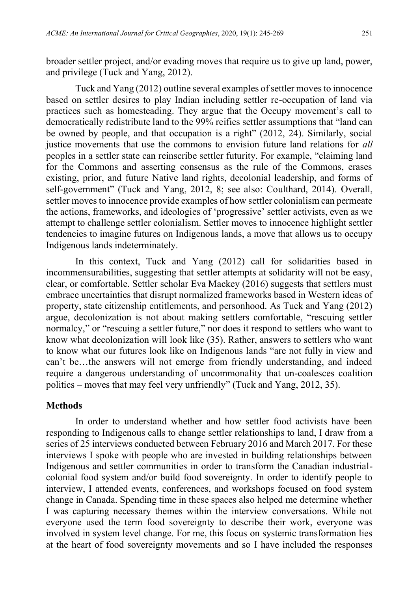broader settler project, and/or evading moves that require us to give up land, power, and privilege (Tuck and Yang, 2012).

Tuck and Yang (2012) outline several examples of settler moves to innocence based on settler desires to play Indian including settler re-occupation of land via practices such as homesteading. They argue that the Occupy movement's call to democratically redistribute land to the 99% reifies settler assumptions that "land can be owned by people, and that occupation is a right" (2012, 24). Similarly, social justice movements that use the commons to envision future land relations for *all* peoples in a settler state can reinscribe settler futurity. For example, "claiming land for the Commons and asserting consensus as the rule of the Commons, erases existing, prior, and future Native land rights, decolonial leadership, and forms of self-government" (Tuck and Yang, 2012, 8; see also: Coulthard, 2014). Overall, settler moves to innocence provide examples of how settler colonialism can permeate the actions, frameworks, and ideologies of 'progressive' settler activists, even as we attempt to challenge settler colonialism. Settler moves to innocence highlight settler tendencies to imagine futures on Indigenous lands, a move that allows us to occupy Indigenous lands indeterminately.

In this context, Tuck and Yang (2012) call for solidarities based in incommensurabilities, suggesting that settler attempts at solidarity will not be easy, clear, or comfortable. Settler scholar Eva Mackey (2016) suggests that settlers must embrace uncertainties that disrupt normalized frameworks based in Western ideas of property, state citizenship entitlements, and personhood. As Tuck and Yang (2012) argue, decolonization is not about making settlers comfortable, "rescuing settler normalcy," or "rescuing a settler future," nor does it respond to settlers who want to know what decolonization will look like (35). Rather, answers to settlers who want to know what our futures look like on Indigenous lands "are not fully in view and can't be…the answers will not emerge from friendly understanding, and indeed require a dangerous understanding of uncommonality that un-coalesces coalition politics – moves that may feel very unfriendly" (Tuck and Yang, 2012, 35).

#### **Methods**

In order to understand whether and how settler food activists have been responding to Indigenous calls to change settler relationships to land, I draw from a series of 25 interviews conducted between February 2016 and March 2017. For these interviews I spoke with people who are invested in building relationships between Indigenous and settler communities in order to transform the Canadian industrialcolonial food system and/or build food sovereignty. In order to identify people to interview, I attended events, conferences, and workshops focused on food system change in Canada. Spending time in these spaces also helped me determine whether I was capturing necessary themes within the interview conversations. While not everyone used the term food sovereignty to describe their work, everyone was involved in system level change. For me, this focus on systemic transformation lies at the heart of food sovereignty movements and so I have included the responses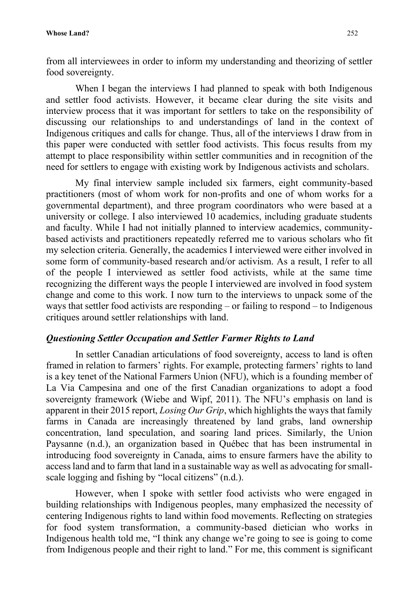from all interviewees in order to inform my understanding and theorizing of settler food sovereignty.

When I began the interviews I had planned to speak with both Indigenous and settler food activists. However, it became clear during the site visits and interview process that it was important for settlers to take on the responsibility of discussing our relationships to and understandings of land in the context of Indigenous critiques and calls for change. Thus, all of the interviews I draw from in this paper were conducted with settler food activists. This focus results from my attempt to place responsibility within settler communities and in recognition of the need for settlers to engage with existing work by Indigenous activists and scholars.

My final interview sample included six farmers, eight community-based practitioners (most of whom work for non-profits and one of whom works for a governmental department), and three program coordinators who were based at a university or college. I also interviewed 10 academics, including graduate students and faculty. While I had not initially planned to interview academics, communitybased activists and practitioners repeatedly referred me to various scholars who fit my selection criteria. Generally, the academics I interviewed were either involved in some form of community-based research and/or activism. As a result, I refer to all of the people I interviewed as settler food activists, while at the same time recognizing the different ways the people I interviewed are involved in food system change and come to this work. I now turn to the interviews to unpack some of the ways that settler food activists are responding – or failing to respond – to Indigenous critiques around settler relationships with land.

#### *Questioning Settler Occupation and Settler Farmer Rights to Land*

In settler Canadian articulations of food sovereignty, access to land is often framed in relation to farmers' rights. For example, protecting farmers' rights to land is a key tenet of the National Farmers Union (NFU), which is a founding member of La Via Campesina and one of the first Canadian organizations to adopt a food sovereignty framework (Wiebe and Wipf, 2011). The NFU's emphasis on land is apparent in their 2015 report, *Losing Our Grip*, which highlights the ways that family farms in Canada are increasingly threatened by land grabs, land ownership concentration, land speculation, and soaring land prices. Similarly, the Union Paysanne (n.d.), an organization based in Québec that has been instrumental in introducing food sovereignty in Canada, aims to ensure farmers have the ability to access land and to farm that land in a sustainable way as well as advocating for smallscale logging and fishing by "local citizens" (n.d.).

However, when I spoke with settler food activists who were engaged in building relationships with Indigenous peoples, many emphasized the necessity of centering Indigenous rights to land within food movements. Reflecting on strategies for food system transformation, a community-based dietician who works in Indigenous health told me, "I think any change we're going to see is going to come from Indigenous people and their right to land." For me, this comment is significant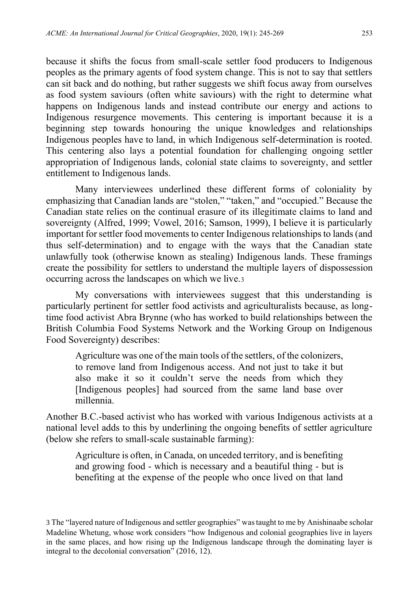because it shifts the focus from small-scale settler food producers to Indigenous peoples as the primary agents of food system change. This is not to say that settlers can sit back and do nothing, but rather suggests we shift focus away from ourselves as food system saviours (often white saviours) with the right to determine what happens on Indigenous lands and instead contribute our energy and actions to Indigenous resurgence movements. This centering is important because it is a beginning step towards honouring the unique knowledges and relationships Indigenous peoples have to land, in which Indigenous self-determination is rooted. This centering also lays a potential foundation for challenging ongoing settler appropriation of Indigenous lands, colonial state claims to sovereignty, and settler entitlement to Indigenous lands.

Many interviewees underlined these different forms of coloniality by emphasizing that Canadian lands are "stolen," "taken," and "occupied." Because the Canadian state relies on the continual erasure of its illegitimate claims to land and sovereignty (Alfred, 1999; Vowel, 2016; Samson, 1999), I believe it is particularly important for settler food movements to center Indigenous relationships to lands (and thus self-determination) and to engage with the ways that the Canadian state unlawfully took (otherwise known as stealing) Indigenous lands. These framings create the possibility for settlers to understand the multiple layers of dispossession occurring across the landscapes on which we live.<sup>3</sup>

My conversations with interviewees suggest that this understanding is particularly pertinent for settler food activists and agriculturalists because, as longtime food activist Abra Brynne (who has worked to build relationships between the British Columbia Food Systems Network and the Working Group on Indigenous Food Sovereignty) describes:

Agriculture was one of the main tools of the settlers, of the colonizers, to remove land from Indigenous access. And not just to take it but also make it so it couldn't serve the needs from which they [Indigenous peoples] had sourced from the same land base over millennia.

Another B.C.-based activist who has worked with various Indigenous activists at a national level adds to this by underlining the ongoing benefits of settler agriculture (below she refers to small-scale sustainable farming):

Agriculture is often, in Canada, on unceded territory, and is benefiting and growing food - which is necessary and a beautiful thing - but is benefiting at the expense of the people who once lived on that land

<sup>3</sup> The "layered nature of Indigenous and settler geographies" was taught to me by Anishinaabe scholar Madeline Whetung, whose work considers "how Indigenous and colonial geographies live in layers in the same places, and how rising up the Indigenous landscape through the dominating layer is integral to the decolonial conversation" (2016, 12).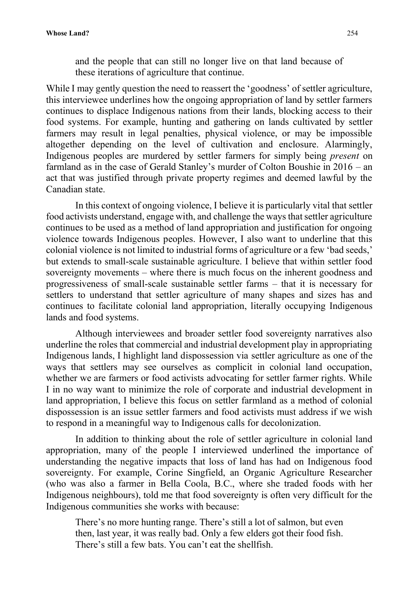and the people that can still no longer live on that land because of these iterations of agriculture that continue.

While I may gently question the need to reassert the 'goodness' of settler agriculture, this interviewee underlines how the ongoing appropriation of land by settler farmers continues to displace Indigenous nations from their lands, blocking access to their food systems. For example, hunting and gathering on lands cultivated by settler farmers may result in legal penalties, physical violence, or may be impossible altogether depending on the level of cultivation and enclosure. Alarmingly, Indigenous peoples are murdered by settler farmers for simply being *present* on farmland as in the case of Gerald Stanley's murder of Colton Boushie in 2016 – an act that was justified through private property regimes and deemed lawful by the Canadian state.

In this context of ongoing violence, I believe it is particularly vital that settler food activists understand, engage with, and challenge the ways that settler agriculture continues to be used as a method of land appropriation and justification for ongoing violence towards Indigenous peoples. However, I also want to underline that this colonial violence is not limited to industrial forms of agriculture or a few 'bad seeds,' but extends to small-scale sustainable agriculture. I believe that within settler food sovereignty movements – where there is much focus on the inherent goodness and progressiveness of small-scale sustainable settler farms – that it is necessary for settlers to understand that settler agriculture of many shapes and sizes has and continues to facilitate colonial land appropriation, literally occupying Indigenous lands and food systems.

Although interviewees and broader settler food sovereignty narratives also underline the roles that commercial and industrial development play in appropriating Indigenous lands, I highlight land dispossession via settler agriculture as one of the ways that settlers may see ourselves as complicit in colonial land occupation, whether we are farmers or food activists advocating for settler farmer rights. While I in no way want to minimize the role of corporate and industrial development in land appropriation, I believe this focus on settler farmland as a method of colonial dispossession is an issue settler farmers and food activists must address if we wish to respond in a meaningful way to Indigenous calls for decolonization.

In addition to thinking about the role of settler agriculture in colonial land appropriation, many of the people I interviewed underlined the importance of understanding the negative impacts that loss of land has had on Indigenous food sovereignty. For example, Corine Singfield, an Organic Agriculture Researcher (who was also a farmer in Bella Coola, B.C., where she traded foods with her Indigenous neighbours), told me that food sovereignty is often very difficult for the Indigenous communities she works with because:

There's no more hunting range. There's still a lot of salmon, but even then, last year, it was really bad. Only a few elders got their food fish. There's still a few bats. You can't eat the shellfish.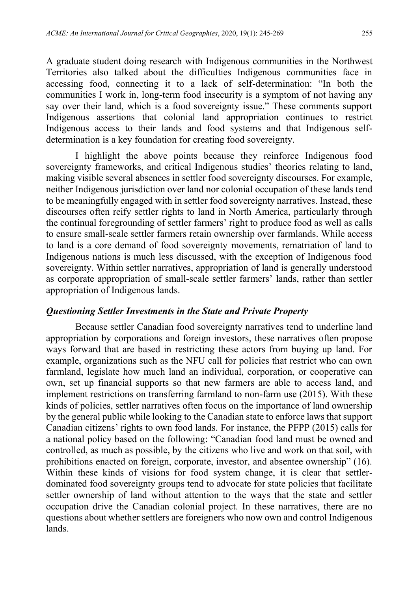A graduate student doing research with Indigenous communities in the Northwest Territories also talked about the difficulties Indigenous communities face in accessing food, connecting it to a lack of self-determination: "In both the communities I work in, long-term food insecurity is a symptom of not having any say over their land, which is a food sovereignty issue." These comments support Indigenous assertions that colonial land appropriation continues to restrict Indigenous access to their lands and food systems and that Indigenous selfdetermination is a key foundation for creating food sovereignty.

I highlight the above points because they reinforce Indigenous food sovereignty frameworks, and critical Indigenous studies' theories relating to land, making visible several absences in settler food sovereignty discourses. For example, neither Indigenous jurisdiction over land nor colonial occupation of these lands tend to be meaningfully engaged with in settler food sovereignty narratives. Instead, these discourses often reify settler rights to land in North America, particularly through the continual foregrounding of settler farmers' right to produce food as well as calls to ensure small-scale settler farmers retain ownership over farmlands. While access to land is a core demand of food sovereignty movements, rematriation of land to Indigenous nations is much less discussed, with the exception of Indigenous food sovereignty. Within settler narratives, appropriation of land is generally understood as corporate appropriation of small-scale settler farmers' lands, rather than settler appropriation of Indigenous lands.

#### *Questioning Settler Investments in the State and Private Property*

Because settler Canadian food sovereignty narratives tend to underline land appropriation by corporations and foreign investors, these narratives often propose ways forward that are based in restricting these actors from buying up land. For example, organizations such as the NFU call for policies that restrict who can own farmland, legislate how much land an individual, corporation, or cooperative can own, set up financial supports so that new farmers are able to access land, and implement restrictions on transferring farmland to non-farm use (2015). With these kinds of policies, settler narratives often focus on the importance of land ownership by the general public while looking to the Canadian state to enforce laws that support Canadian citizens' rights to own food lands. For instance, the PFPP (2015) calls for a national policy based on the following: "Canadian food land must be owned and controlled, as much as possible, by the citizens who live and work on that soil, with prohibitions enacted on foreign, corporate, investor, and absentee ownership" (16). Within these kinds of visions for food system change, it is clear that settlerdominated food sovereignty groups tend to advocate for state policies that facilitate settler ownership of land without attention to the ways that the state and settler occupation drive the Canadian colonial project. In these narratives, there are no questions about whether settlers are foreigners who now own and control Indigenous lands.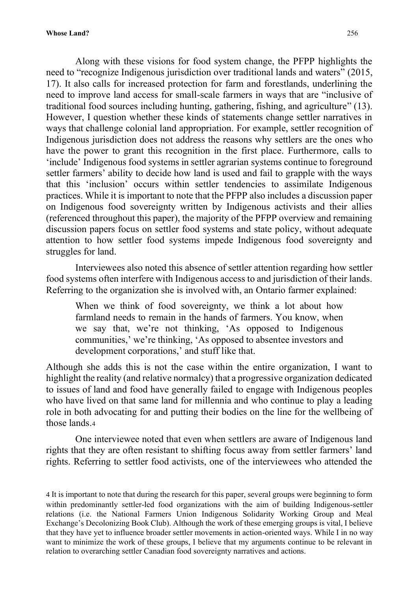Along with these visions for food system change, the PFPP highlights the need to "recognize Indigenous jurisdiction over traditional lands and waters" (2015, 17). It also calls for increased protection for farm and forestlands, underlining the need to improve land access for small-scale farmers in ways that are "inclusive of traditional food sources including hunting, gathering, fishing, and agriculture" (13). However, I question whether these kinds of statements change settler narratives in ways that challenge colonial land appropriation. For example, settler recognition of Indigenous jurisdiction does not address the reasons why settlers are the ones who have the power to grant this recognition in the first place. Furthermore, calls to 'include' Indigenous food systems in settler agrarian systems continue to foreground settler farmers' ability to decide how land is used and fail to grapple with the ways that this 'inclusion' occurs within settler tendencies to assimilate Indigenous practices. While it is important to note that the PFPP also includes a discussion paper on Indigenous food sovereignty written by Indigenous activists and their allies (referenced throughout this paper), the majority of the PFPP overview and remaining discussion papers focus on settler food systems and state policy, without adequate attention to how settler food systems impede Indigenous food sovereignty and struggles for land.

Interviewees also noted this absence of settler attention regarding how settler food systems often interfere with Indigenous access to and jurisdiction of their lands. Referring to the organization she is involved with, an Ontario farmer explained:

When we think of food sovereignty, we think a lot about how farmland needs to remain in the hands of farmers. You know, when we say that, we're not thinking, 'As opposed to Indigenous communities,' we're thinking, 'As opposed to absentee investors and development corporations,' and stuff like that.

Although she adds this is not the case within the entire organization, I want to highlight the reality (and relative normalcy) that a progressive organization dedicated to issues of land and food have generally failed to engage with Indigenous peoples who have lived on that same land for millennia and who continue to play a leading role in both advocating for and putting their bodies on the line for the wellbeing of those lands.<sup>4</sup>

One interviewee noted that even when settlers are aware of Indigenous land rights that they are often resistant to shifting focus away from settler farmers' land rights. Referring to settler food activists, one of the interviewees who attended the

<sup>4</sup> It is important to note that during the research for this paper, several groups were beginning to form within predominantly settler-led food organizations with the aim of building Indigenous-settler relations (i.e. the National Farmers Union Indigenous Solidarity Working Group and Meal Exchange's Decolonizing Book Club). Although the work of these emerging groups is vital, I believe that they have yet to influence broader settler movements in action-oriented ways. While I in no way want to minimize the work of these groups, I believe that my arguments continue to be relevant in relation to overarching settler Canadian food sovereignty narratives and actions.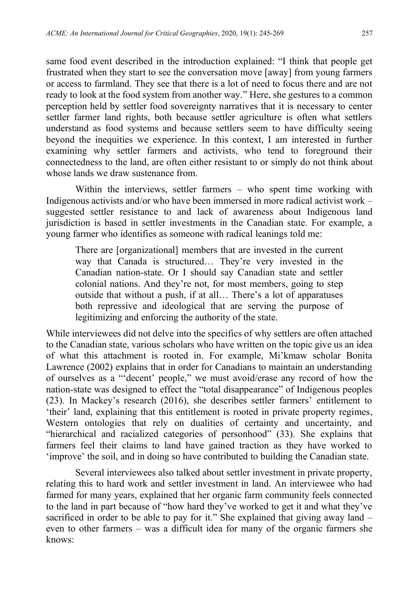same food event described in the introduction explained: "I think that people get frustrated when they start to see the conversation move [away] from young farmers or access to farmland. They see that there is a lot of need to focus there and are not ready to look at the food system from another way." Here, she gestures to a common perception held by settler food sovereignty narratives that it is necessary to center settler farmer land rights, both because settler agriculture is often what settlers understand as food systems and because settlers seem to have difficulty seeing beyond the inequities we experience. In this context, I am interested in further examining why settler farmers and activists, who tend to foreground their connectedness to the land, are often either resistant to or simply do not think about whose lands we draw sustenance from.

Within the interviews, settler farmers – who spent time working with Indigenous activists and/or who have been immersed in more radical activist work – suggested settler resistance to and lack of awareness about Indigenous land jurisdiction is based in settler investments in the Canadian state. For example, a young farmer who identifies as someone with radical leanings told me:

There are [organizational] members that are invested in the current way that Canada is structured… They're very invested in the Canadian nation-state. Or I should say Canadian state and settler colonial nations. And they're not, for most members, going to step outside that without a push, if at all… There's a lot of apparatuses both repressive and ideological that are serving the purpose of legitimizing and enforcing the authority of the state.

While interviewees did not delve into the specifics of why settlers are often attached to the Canadian state, various scholars who have written on the topic give us an idea of what this attachment is rooted in. For example, Mi'kmaw scholar Bonita Lawrence (2002) explains that in order for Canadians to maintain an understanding of ourselves as a "'decent' people," we must avoid/erase any record of how the nation-state was designed to effect the "total disappearance" of Indigenous peoples (23). In Mackey's research (2016), she describes settler farmers' entitlement to 'their' land, explaining that this entitlement is rooted in private property regimes, Western ontologies that rely on dualities of certainty and uncertainty, and "hierarchical and racialized categories of personhood" (33). She explains that farmers feel their claims to land have gained traction as they have worked to 'improve' the soil, and in doing so have contributed to building the Canadian state.

Several interviewees also talked about settler investment in private property, relating this to hard work and settler investment in land. An interviewee who had farmed for many years, explained that her organic farm community feels connected to the land in part because of "how hard they've worked to get it and what they've sacrificed in order to be able to pay for it." She explained that giving away land – even to other farmers – was a difficult idea for many of the organic farmers she knows: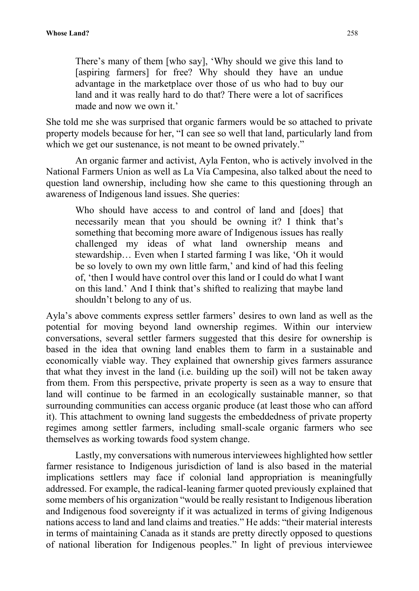There's many of them [who say], 'Why should we give this land to [aspiring farmers] for free? Why should they have an undue advantage in the marketplace over those of us who had to buy our land and it was really hard to do that? There were a lot of sacrifices made and now we own it.'

She told me she was surprised that organic farmers would be so attached to private property models because for her, "I can see so well that land, particularly land from which we get our sustenance, is not meant to be owned privately."

An organic farmer and activist, Ayla Fenton, who is actively involved in the National Farmers Union as well as La Vía Campesina, also talked about the need to question land ownership, including how she came to this questioning through an awareness of Indigenous land issues. She queries:

Who should have access to and control of land and [does] that necessarily mean that you should be owning it? I think that's something that becoming more aware of Indigenous issues has really challenged my ideas of what land ownership means and stewardship… Even when I started farming I was like, 'Oh it would be so lovely to own my own little farm,' and kind of had this feeling of, 'then I would have control over this land or I could do what I want on this land.' And I think that's shifted to realizing that maybe land shouldn't belong to any of us.

Ayla's above comments express settler farmers' desires to own land as well as the potential for moving beyond land ownership regimes. Within our interview conversations, several settler farmers suggested that this desire for ownership is based in the idea that owning land enables them to farm in a sustainable and economically viable way. They explained that ownership gives farmers assurance that what they invest in the land (i.e. building up the soil) will not be taken away from them. From this perspective, private property is seen as a way to ensure that land will continue to be farmed in an ecologically sustainable manner, so that surrounding communities can access organic produce (at least those who can afford it). This attachment to owning land suggests the embeddedness of private property regimes among settler farmers, including small-scale organic farmers who see themselves as working towards food system change.

Lastly, my conversations with numerous interviewees highlighted how settler farmer resistance to Indigenous jurisdiction of land is also based in the material implications settlers may face if colonial land appropriation is meaningfully addressed. For example, the radical-leaning farmer quoted previously explained that some members of his organization "would be really resistant to Indigenous liberation and Indigenous food sovereignty if it was actualized in terms of giving Indigenous nations access to land and land claims and treaties." He adds: "their material interests in terms of maintaining Canada as it stands are pretty directly opposed to questions of national liberation for Indigenous peoples." In light of previous interviewee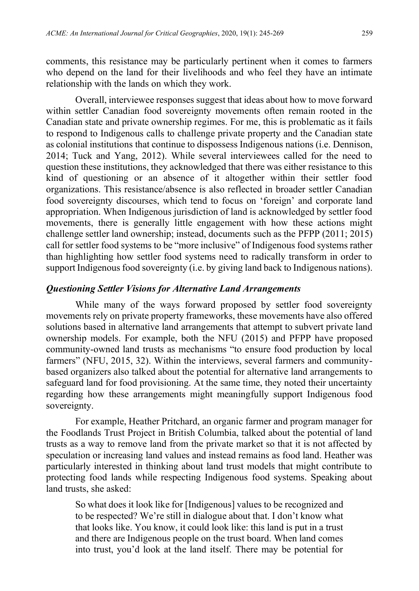comments, this resistance may be particularly pertinent when it comes to farmers who depend on the land for their livelihoods and who feel they have an intimate relationship with the lands on which they work.

Overall, interviewee responses suggest that ideas about how to move forward within settler Canadian food sovereignty movements often remain rooted in the Canadian state and private ownership regimes. For me, this is problematic as it fails to respond to Indigenous calls to challenge private property and the Canadian state as colonial institutions that continue to dispossess Indigenous nations (i.e. Dennison, 2014; Tuck and Yang, 2012). While several interviewees called for the need to question these institutions, they acknowledged that there was either resistance to this kind of questioning or an absence of it altogether within their settler food organizations. This resistance/absence is also reflected in broader settler Canadian food sovereignty discourses, which tend to focus on 'foreign' and corporate land appropriation. When Indigenous jurisdiction of land is acknowledged by settler food movements, there is generally little engagement with how these actions might challenge settler land ownership; instead, documents such as the PFPP (2011; 2015) call for settler food systems to be "more inclusive" of Indigenous food systems rather than highlighting how settler food systems need to radically transform in order to support Indigenous food sovereignty (i.e. by giving land back to Indigenous nations).

#### *Questioning Settler Visions for Alternative Land Arrangements*

While many of the ways forward proposed by settler food sovereignty movements rely on private property frameworks, these movements have also offered solutions based in alternative land arrangements that attempt to subvert private land ownership models. For example, both the NFU (2015) and PFPP have proposed community-owned land trusts as mechanisms "to ensure food production by local farmers" (NFU, 2015, 32). Within the interviews, several farmers and communitybased organizers also talked about the potential for alternative land arrangements to safeguard land for food provisioning. At the same time, they noted their uncertainty regarding how these arrangements might meaningfully support Indigenous food sovereignty.

For example, Heather Pritchard, an organic farmer and program manager for the Foodlands Trust Project in British Columbia, talked about the potential of land trusts as a way to remove land from the private market so that it is not affected by speculation or increasing land values and instead remains as food land. Heather was particularly interested in thinking about land trust models that might contribute to protecting food lands while respecting Indigenous food systems. Speaking about land trusts, she asked:

So what does it look like for [Indigenous] values to be recognized and to be respected? We're still in dialogue about that. I don't know what that looks like. You know, it could look like: this land is put in a trust and there are Indigenous people on the trust board. When land comes into trust, you'd look at the land itself. There may be potential for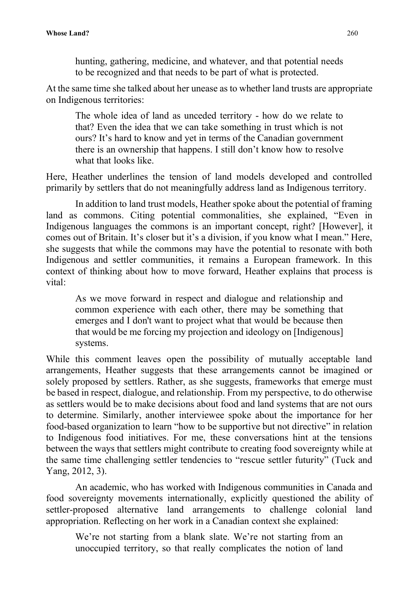hunting, gathering, medicine, and whatever, and that potential needs to be recognized and that needs to be part of what is protected.

At the same time she talked about her unease as to whether land trusts are appropriate on Indigenous territories:

The whole idea of land as unceded territory - how do we relate to that? Even the idea that we can take something in trust which is not ours? It's hard to know and yet in terms of the Canadian government there is an ownership that happens. I still don't know how to resolve what that looks like.

Here, Heather underlines the tension of land models developed and controlled primarily by settlers that do not meaningfully address land as Indigenous territory.

In addition to land trust models, Heather spoke about the potential of framing land as commons. Citing potential commonalities, she explained, "Even in Indigenous languages the commons is an important concept, right? [However], it comes out of Britain. It's closer but it's a division, if you know what I mean." Here, she suggests that while the commons may have the potential to resonate with both Indigenous and settler communities, it remains a European framework. In this context of thinking about how to move forward, Heather explains that process is vital:

As we move forward in respect and dialogue and relationship and common experience with each other, there may be something that emerges and I don't want to project what that would be because then that would be me forcing my projection and ideology on [Indigenous] systems.

While this comment leaves open the possibility of mutually acceptable land arrangements, Heather suggests that these arrangements cannot be imagined or solely proposed by settlers. Rather, as she suggests, frameworks that emerge must be based in respect, dialogue, and relationship. From my perspective, to do otherwise as settlers would be to make decisions about food and land systems that are not ours to determine. Similarly, another interviewee spoke about the importance for her food-based organization to learn "how to be supportive but not directive" in relation to Indigenous food initiatives. For me, these conversations hint at the tensions between the ways that settlers might contribute to creating food sovereignty while at the same time challenging settler tendencies to "rescue settler futurity" (Tuck and Yang, 2012, 3).

An academic, who has worked with Indigenous communities in Canada and food sovereignty movements internationally, explicitly questioned the ability of settler-proposed alternative land arrangements to challenge colonial land appropriation. Reflecting on her work in a Canadian context she explained:

We're not starting from a blank slate. We're not starting from an unoccupied territory, so that really complicates the notion of land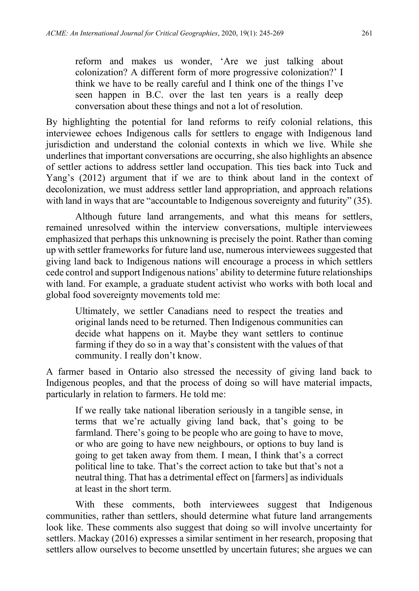reform and makes us wonder, 'Are we just talking about colonization? A different form of more progressive colonization?' I think we have to be really careful and I think one of the things I've seen happen in B.C. over the last ten years is a really deep conversation about these things and not a lot of resolution.

By highlighting the potential for land reforms to reify colonial relations, this interviewee echoes Indigenous calls for settlers to engage with Indigenous land jurisdiction and understand the colonial contexts in which we live. While she underlines that important conversations are occurring, she also highlights an absence of settler actions to address settler land occupation. This ties back into Tuck and Yang's (2012) argument that if we are to think about land in the context of decolonization, we must address settler land appropriation, and approach relations with land in ways that are "accountable to Indigenous sovereignty and futurity" (35).

Although future land arrangements, and what this means for settlers, remained unresolved within the interview conversations, multiple interviewees emphasized that perhaps this unknowning is precisely the point. Rather than coming up with settler frameworks for future land use, numerous interviewees suggested that giving land back to Indigenous nations will encourage a process in which settlers cede control and support Indigenous nations' ability to determine future relationships with land. For example, a graduate student activist who works with both local and global food sovereignty movements told me:

Ultimately, we settler Canadians need to respect the treaties and original lands need to be returned. Then Indigenous communities can decide what happens on it. Maybe they want settlers to continue farming if they do so in a way that's consistent with the values of that community. I really don't know.

A farmer based in Ontario also stressed the necessity of giving land back to Indigenous peoples, and that the process of doing so will have material impacts, particularly in relation to farmers. He told me:

If we really take national liberation seriously in a tangible sense, in terms that we're actually giving land back, that's going to be farmland. There's going to be people who are going to have to move, or who are going to have new neighbours, or options to buy land is going to get taken away from them. I mean, I think that's a correct political line to take. That's the correct action to take but that's not a neutral thing. That has a detrimental effect on [farmers] as individuals at least in the short term.

With these comments, both interviewees suggest that Indigenous communities, rather than settlers, should determine what future land arrangements look like. These comments also suggest that doing so will involve uncertainty for settlers. Mackay (2016) expresses a similar sentiment in her research, proposing that settlers allow ourselves to become unsettled by uncertain futures; she argues we can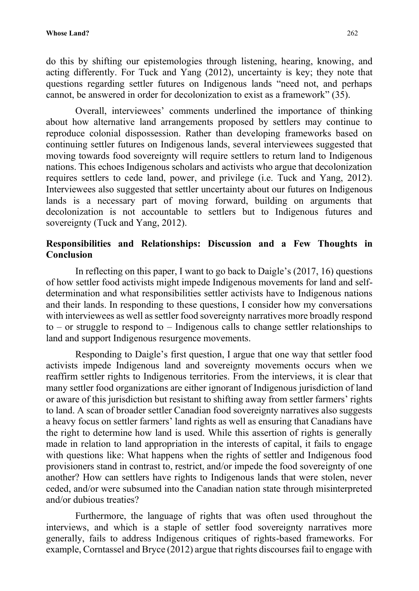do this by shifting our epistemologies through listening, hearing, knowing, and acting differently. For Tuck and Yang (2012), uncertainty is key; they note that questions regarding settler futures on Indigenous lands "need not, and perhaps cannot, be answered in order for decolonization to exist as a framework" (35).

Overall, interviewees' comments underlined the importance of thinking about how alternative land arrangements proposed by settlers may continue to reproduce colonial dispossession. Rather than developing frameworks based on continuing settler futures on Indigenous lands, several interviewees suggested that moving towards food sovereignty will require settlers to return land to Indigenous nations. This echoes Indigenous scholars and activists who argue that decolonization requires settlers to cede land, power, and privilege (i.e. Tuck and Yang, 2012). Interviewees also suggested that settler uncertainty about our futures on Indigenous lands is a necessary part of moving forward, building on arguments that decolonization is not accountable to settlers but to Indigenous futures and sovereignty (Tuck and Yang, 2012).

## **Responsibilities and Relationships: Discussion and a Few Thoughts in Conclusion**

In reflecting on this paper, I want to go back to Daigle's (2017, 16) questions of how settler food activists might impede Indigenous movements for land and selfdetermination and what responsibilities settler activists have to Indigenous nations and their lands. In responding to these questions, I consider how my conversations with interviewees as well as settler food sovereignty narratives more broadly respond to – or struggle to respond to – Indigenous calls to change settler relationships to land and support Indigenous resurgence movements.

Responding to Daigle's first question, I argue that one way that settler food activists impede Indigenous land and sovereignty movements occurs when we reaffirm settler rights to Indigenous territories. From the interviews, it is clear that many settler food organizations are either ignorant of Indigenous jurisdiction of land or aware of this jurisdiction but resistant to shifting away from settler farmers' rights to land. A scan of broader settler Canadian food sovereignty narratives also suggests a heavy focus on settler farmers' land rights as well as ensuring that Canadians have the right to determine how land is used. While this assertion of rights is generally made in relation to land appropriation in the interests of capital, it fails to engage with questions like: What happens when the rights of settler and Indigenous food provisioners stand in contrast to, restrict, and/or impede the food sovereignty of one another? How can settlers have rights to Indigenous lands that were stolen, never ceded, and/or were subsumed into the Canadian nation state through misinterpreted and/or dubious treaties?

Furthermore, the language of rights that was often used throughout the interviews, and which is a staple of settler food sovereignty narratives more generally, fails to address Indigenous critiques of rights-based frameworks. For example, Corntassel and Bryce (2012) argue that rights discourses fail to engage with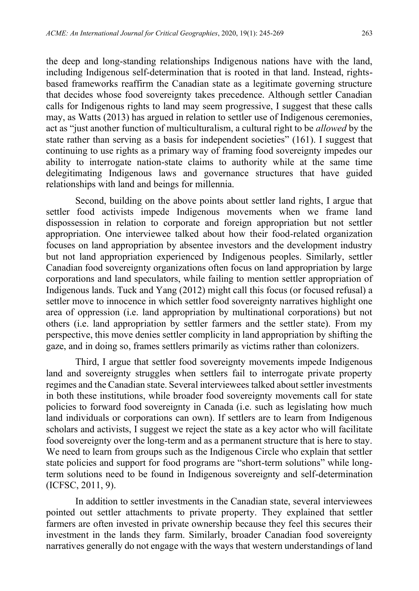the deep and long-standing relationships Indigenous nations have with the land, including Indigenous self-determination that is rooted in that land. Instead, rightsbased frameworks reaffirm the Canadian state as a legitimate governing structure that decides whose food sovereignty takes precedence. Although settler Canadian calls for Indigenous rights to land may seem progressive, I suggest that these calls may, as Watts (2013) has argued in relation to settler use of Indigenous ceremonies, act as "just another function of multiculturalism, a cultural right to be *allowed* by the state rather than serving as a basis for independent societies" (161). I suggest that continuing to use rights as a primary way of framing food sovereignty impedes our ability to interrogate nation-state claims to authority while at the same time delegitimating Indigenous laws and governance structures that have guided relationships with land and beings for millennia.

Second, building on the above points about settler land rights, I argue that settler food activists impede Indigenous movements when we frame land dispossession in relation to corporate and foreign appropriation but not settler appropriation. One interviewee talked about how their food-related organization focuses on land appropriation by absentee investors and the development industry but not land appropriation experienced by Indigenous peoples. Similarly, settler Canadian food sovereignty organizations often focus on land appropriation by large corporations and land speculators, while failing to mention settler appropriation of Indigenous lands. Tuck and Yang (2012) might call this focus (or focused refusal) a settler move to innocence in which settler food sovereignty narratives highlight one area of oppression (i.e. land appropriation by multinational corporations) but not others (i.e. land appropriation by settler farmers and the settler state). From my perspective, this move denies settler complicity in land appropriation by shifting the gaze, and in doing so, frames settlers primarily as victims rather than colonizers.

Third, I argue that settler food sovereignty movements impede Indigenous land and sovereignty struggles when settlers fail to interrogate private property regimes and the Canadian state. Several interviewees talked about settler investments in both these institutions, while broader food sovereignty movements call for state policies to forward food sovereignty in Canada (i.e. such as legislating how much land individuals or corporations can own). If settlers are to learn from Indigenous scholars and activists, I suggest we reject the state as a key actor who will facilitate food sovereignty over the long-term and as a permanent structure that is here to stay. We need to learn from groups such as the Indigenous Circle who explain that settler state policies and support for food programs are "short-term solutions" while longterm solutions need to be found in Indigenous sovereignty and self-determination (ICFSC, 2011, 9).

In addition to settler investments in the Canadian state, several interviewees pointed out settler attachments to private property. They explained that settler farmers are often invested in private ownership because they feel this secures their investment in the lands they farm. Similarly, broader Canadian food sovereignty narratives generally do not engage with the ways that western understandings of land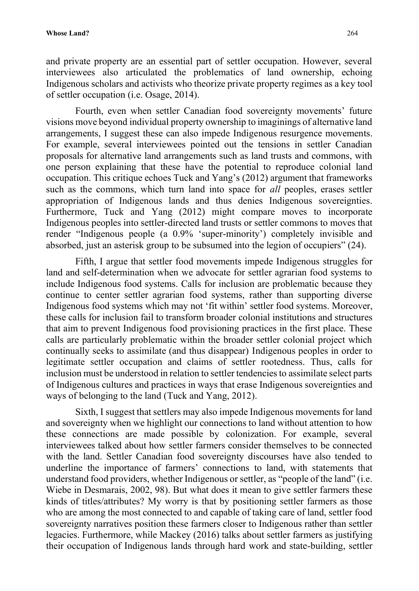and private property are an essential part of settler occupation. However, several interviewees also articulated the problematics of land ownership, echoing Indigenous scholars and activists who theorize private property regimes as a key tool of settler occupation (i.e. Osage, 2014).

Fourth, even when settler Canadian food sovereignty movements' future visions move beyond individual property ownership to imaginings of alternative land arrangements, I suggest these can also impede Indigenous resurgence movements. For example, several interviewees pointed out the tensions in settler Canadian proposals for alternative land arrangements such as land trusts and commons, with one person explaining that these have the potential to reproduce colonial land occupation. This critique echoes Tuck and Yang's (2012) argument that frameworks such as the commons, which turn land into space for *all* peoples, erases settler appropriation of Indigenous lands and thus denies Indigenous sovereignties. Furthermore, Tuck and Yang (2012) might compare moves to incorporate Indigenous peoples into settler-directed land trusts or settler commons to moves that render "Indigenous people (a 0.9% 'super-minority') completely invisible and absorbed, just an asterisk group to be subsumed into the legion of occupiers" (24).

Fifth, I argue that settler food movements impede Indigenous struggles for land and self-determination when we advocate for settler agrarian food systems to include Indigenous food systems. Calls for inclusion are problematic because they continue to center settler agrarian food systems, rather than supporting diverse Indigenous food systems which may not 'fit within' settler food systems. Moreover, these calls for inclusion fail to transform broader colonial institutions and structures that aim to prevent Indigenous food provisioning practices in the first place. These calls are particularly problematic within the broader settler colonial project which continually seeks to assimilate (and thus disappear) Indigenous peoples in order to legitimate settler occupation and claims of settler rootedness. Thus, calls for inclusion must be understood in relation to settler tendencies to assimilate select parts of Indigenous cultures and practices in ways that erase Indigenous sovereignties and ways of belonging to the land (Tuck and Yang, 2012).

Sixth, I suggest that settlers may also impede Indigenous movements for land and sovereignty when we highlight our connections to land without attention to how these connections are made possible by colonization. For example, several interviewees talked about how settler farmers consider themselves to be connected with the land. Settler Canadian food sovereignty discourses have also tended to underline the importance of farmers' connections to land, with statements that understand food providers, whether Indigenous or settler, as "people of the land" (i.e. Wiebe in Desmarais, 2002, 98). But what does it mean to give settler farmers these kinds of titles/attributes? My worry is that by positioning settler farmers as those who are among the most connected to and capable of taking care of land, settler food sovereignty narratives position these farmers closer to Indigenous rather than settler legacies. Furthermore, while Mackey (2016) talks about settler farmers as justifying their occupation of Indigenous lands through hard work and state-building, settler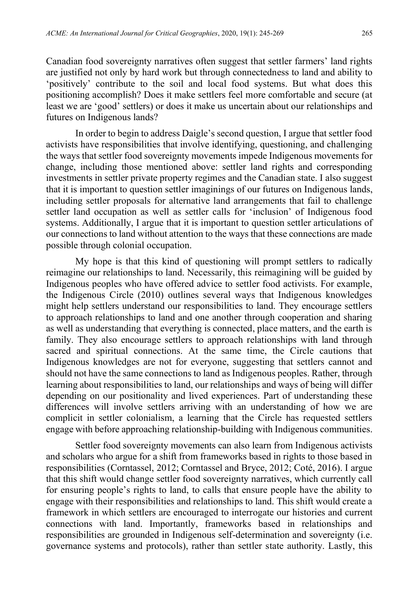Canadian food sovereignty narratives often suggest that settler farmers' land rights are justified not only by hard work but through connectedness to land and ability to 'positively' contribute to the soil and local food systems. But what does this positioning accomplish? Does it make settlers feel more comfortable and secure (at least we are 'good' settlers) or does it make us uncertain about our relationships and futures on Indigenous lands?

In order to begin to address Daigle's second question, I argue that settler food activists have responsibilities that involve identifying, questioning, and challenging the ways that settler food sovereignty movements impede Indigenous movements for change, including those mentioned above: settler land rights and corresponding investments in settler private property regimes and the Canadian state. I also suggest that it is important to question settler imaginings of our futures on Indigenous lands, including settler proposals for alternative land arrangements that fail to challenge settler land occupation as well as settler calls for 'inclusion' of Indigenous food systems. Additionally, I argue that it is important to question settler articulations of our connections to land without attention to the ways that these connections are made possible through colonial occupation.

My hope is that this kind of questioning will prompt settlers to radically reimagine our relationships to land. Necessarily, this reimagining will be guided by Indigenous peoples who have offered advice to settler food activists. For example, the Indigenous Circle (2010) outlines several ways that Indigenous knowledges might help settlers understand our responsibilities to land. They encourage settlers to approach relationships to land and one another through cooperation and sharing as well as understanding that everything is connected, place matters, and the earth is family. They also encourage settlers to approach relationships with land through sacred and spiritual connections. At the same time, the Circle cautions that Indigenous knowledges are not for everyone, suggesting that settlers cannot and should not have the same connections to land as Indigenous peoples. Rather, through learning about responsibilities to land, our relationships and ways of being will differ depending on our positionality and lived experiences. Part of understanding these differences will involve settlers arriving with an understanding of how we are complicit in settler colonialism, a learning that the Circle has requested settlers engage with before approaching relationship-building with Indigenous communities.

Settler food sovereignty movements can also learn from Indigenous activists and scholars who argue for a shift from frameworks based in rights to those based in responsibilities (Corntassel, 2012; Corntassel and Bryce, 2012; Coté, 2016). I argue that this shift would change settler food sovereignty narratives, which currently call for ensuring people's rights to land, to calls that ensure people have the ability to engage with their responsibilities and relationships to land. This shift would create a framework in which settlers are encouraged to interrogate our histories and current connections with land. Importantly, frameworks based in relationships and responsibilities are grounded in Indigenous self-determination and sovereignty (i.e. governance systems and protocols), rather than settler state authority. Lastly, this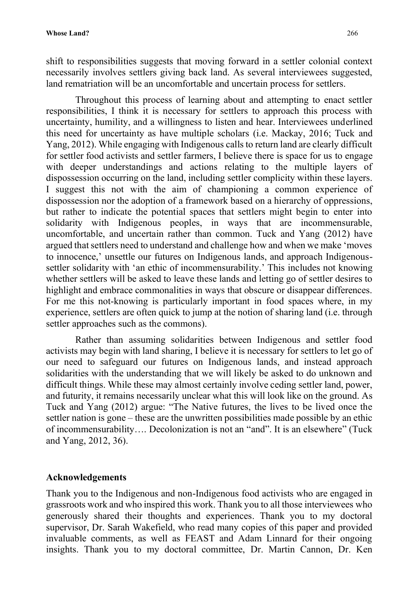shift to responsibilities suggests that moving forward in a settler colonial context necessarily involves settlers giving back land. As several interviewees suggested, land rematriation will be an uncomfortable and uncertain process for settlers.

Throughout this process of learning about and attempting to enact settler responsibilities, I think it is necessary for settlers to approach this process with uncertainty, humility, and a willingness to listen and hear. Interviewees underlined this need for uncertainty as have multiple scholars (i.e. Mackay, 2016; Tuck and Yang, 2012). While engaging with Indigenous calls to return land are clearly difficult for settler food activists and settler farmers, I believe there is space for us to engage with deeper understandings and actions relating to the multiple layers of dispossession occurring on the land, including settler complicity within these layers. I suggest this not with the aim of championing a common experience of dispossession nor the adoption of a framework based on a hierarchy of oppressions, but rather to indicate the potential spaces that settlers might begin to enter into solidarity with Indigenous peoples, in ways that are incommensurable, uncomfortable, and uncertain rather than common. Tuck and Yang (2012) have argued that settlers need to understand and challenge how and when we make 'moves to innocence,' unsettle our futures on Indigenous lands, and approach Indigenoussettler solidarity with 'an ethic of incommensurability.' This includes not knowing whether settlers will be asked to leave these lands and letting go of settler desires to highlight and embrace commonalities in ways that obscure or disappear differences. For me this not-knowing is particularly important in food spaces where, in my experience, settlers are often quick to jump at the notion of sharing land (i.e. through settler approaches such as the commons).

Rather than assuming solidarities between Indigenous and settler food activists may begin with land sharing, I believe it is necessary for settlers to let go of our need to safeguard our futures on Indigenous lands, and instead approach solidarities with the understanding that we will likely be asked to do unknown and difficult things. While these may almost certainly involve ceding settler land, power, and futurity, it remains necessarily unclear what this will look like on the ground. As Tuck and Yang (2012) argue: "The Native futures, the lives to be lived once the settler nation is gone – these are the unwritten possibilities made possible by an ethic of incommensurability…. Decolonization is not an "and". It is an elsewhere" (Tuck and Yang, 2012, 36).

#### **Acknowledgements**

Thank you to the Indigenous and non-Indigenous food activists who are engaged in grassroots work and who inspired this work. Thank you to all those interviewees who generously shared their thoughts and experiences. Thank you to my doctoral supervisor, Dr. Sarah Wakefield, who read many copies of this paper and provided invaluable comments, as well as FEAST and Adam Linnard for their ongoing insights. Thank you to my doctoral committee, Dr. Martin Cannon, Dr. Ken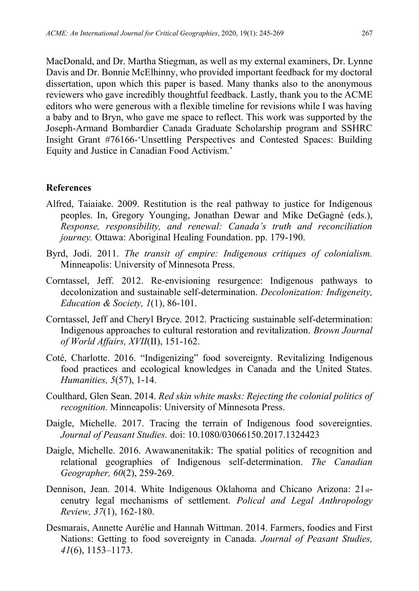MacDonald, and Dr. Martha Stiegman, as well as my external examiners, Dr. Lynne Davis and Dr. Bonnie McElhinny, who provided important feedback for my doctoral dissertation, upon which this paper is based. Many thanks also to the anonymous reviewers who gave incredibly thoughtful feedback. Lastly, thank you to the ACME editors who were generous with a flexible timeline for revisions while I was having a baby and to Bryn, who gave me space to reflect. This work was supported by the Joseph-Armand Bombardier Canada Graduate Scholarship program and SSHRC Insight Grant #76166-'Unsettling Perspectives and Contested Spaces: Building Equity and Justice in Canadian Food Activism.'

#### **References**

- Alfred, Taiaiake. 2009. Restitution is the real pathway to justice for Indigenous peoples. In, Gregory Younging, Jonathan Dewar and Mike DeGagné (eds.), *Response, responsibility, and renewal: Canada's truth and reconciliation journey.* Ottawa: Aboriginal Healing Foundation. pp. 179-190.
- Byrd, Jodi. 2011. *The transit of empire: Indigenous critiques of colonialism.* Minneapolis: University of Minnesota Press.
- Corntassel, Jeff. 2012. Re-envisioning resurgence: Indigenous pathways to decolonization and sustainable self-determination. *Decolonization: Indigeneity, Education & Society, 1*(1), 86-101.
- Corntassel, Jeff and Cheryl Bryce. 2012. Practicing sustainable self-determination: Indigenous approaches to cultural restoration and revitalization. *Brown Journal of World Affairs, XVII*(II), 151-162.
- Coté, Charlotte. 2016. "Indigenizing" food sovereignty. Revitalizing Indigenous food practices and ecological knowledges in Canada and the United States. *Humanities, 5*(57), 1-14.
- Coulthard, Glen Sean. 2014. *Red skin white masks: Rejecting the colonial politics of recognition.* Minneapolis: University of Minnesota Press.
- Daigle, Michelle. 2017. Tracing the terrain of Indigenous food sovereignties. *Journal of Peasant Studies.* doi: 10.1080/03066150.2017.1324423
- Daigle, Michelle. 2016. Awawanenitakik: The spatial politics of recognition and relational geographies of Indigenous self-determination. *The Canadian Geographer, 60*(2), 259-269.
- Dennison, Jean. 2014. White Indigenous Oklahoma and Chicano Arizona: 21stcenutry legal mechanisms of settlement. *Polical and Legal Anthropology Review, 37*(1), 162-180.
- Desmarais, Annette Aurélie and Hannah Wittman. 2014. Farmers, foodies and First Nations: Getting to food sovereignty in Canada. *Journal of Peasant Studies, 41*(6), 1153–1173.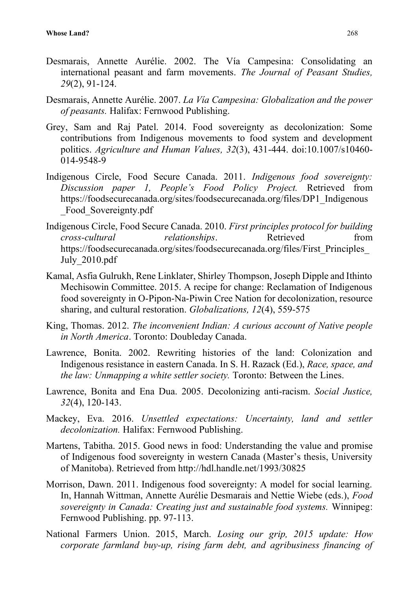- Desmarais, Annette Aurélie. 2002. The Vía Campesina: Consolidating an international peasant and farm movements. *The Journal of Peasant Studies, 29*(2), 91-124.
- Desmarais, Annette Aurélie. 2007. *La Vía Campesina: Globalization and the power of peasants.* Halifax: Fernwood Publishing.
- Grey, Sam and Raj Patel. 2014. Food sovereignty as decolonization: Some contributions from Indigenous movements to food system and development politics. *Agriculture and Human Values, 32*(3), 431-444. doi:10.1007/s10460- 014-9548-9
- Indigenous Circle, Food Secure Canada. 2011. *Indigenous food sovereignty: Discussion paper 1, People's Food Policy Project.* Retrieved from https://foodsecurecanada.org/sites/foodsecurecanada.org/files/DP1\_Indigenous \_Food\_Sovereignty.pdf
- Indigenous Circle, Food Secure Canada. 2010. *First principles protocol for building cross-cultural relationships*. Retrieved from https://foodsecurecanada.org/sites/foodsecurecanada.org/files/First\_Principles\_ July\_2010.pdf
- Kamal, Asfia Gulrukh, Rene Linklater, Shirley Thompson, Joseph Dipple and Ithinto Mechisowin Committee. 2015. A recipe for change: Reclamation of Indigenous food sovereignty in O-Pipon-Na-Piwin Cree Nation for decolonization, resource sharing, and cultural restoration. *Globalizations, 12*(4), 559-575
- King, Thomas. 2012. *The inconvenient Indian: A curious account of Native people in North America*. Toronto: Doubleday Canada.
- Lawrence, Bonita. 2002. Rewriting histories of the land: Colonization and Indigenous resistance in eastern Canada. In S. H. Razack (Ed.), *Race, space, and the law: Unmapping a white settler society.* Toronto: Between the Lines.
- Lawrence, Bonita and Ena Dua. 2005. Decolonizing anti-racism. *Social Justice, 32*(4), 120-143.
- Mackey, Eva. 2016. *Unsettled expectations: Uncertainty, land and settler decolonization.* Halifax: Fernwood Publishing.
- Martens, Tabitha. 2015. Good news in food: Understanding the value and promise of Indigenous food sovereignty in western Canada (Master's thesis, University of Manitoba). Retrieved from http://hdl.handle.net/1993/30825
- Morrison, Dawn. 2011. Indigenous food sovereignty: A model for social learning. In, Hannah Wittman, Annette Aurélie Desmarais and Nettie Wiebe (eds.), *Food sovereignty in Canada: Creating just and sustainable food systems.* Winnipeg: Fernwood Publishing. pp. 97-113.
- National Farmers Union. 2015, March. *Losing our grip, 2015 update: How corporate farmland buy-up, rising farm debt, and agribusiness financing of*